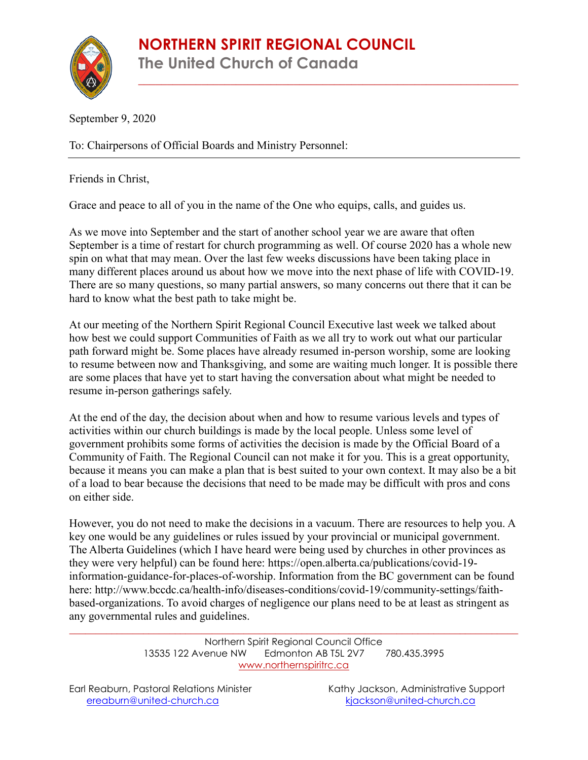\_\_\_\_\_\_\_\_\_\_\_\_\_\_\_\_\_\_\_\_\_\_\_\_\_\_\_\_\_\_\_\_\_\_\_\_\_\_\_\_\_\_\_\_\_\_\_\_\_\_\_\_\_\_\_\_\_\_\_\_\_\_\_\_\_\_

September 9, 2020

To: Chairpersons of Official Boards and Ministry Personnel:

Friends in Christ,

Grace and peace to all of you in the name of the One who equips, calls, and guides us.

As we move into September and the start of another school year we are aware that often September is a time of restart for church programming as well. Of course 2020 has a whole new spin on what that may mean. Over the last few weeks discussions have been taking place in many different places around us about how we move into the next phase of life with COVID-19. There are so many questions, so many partial answers, so many concerns out there that it can be hard to know what the best path to take might be.

At our meeting of the Northern Spirit Regional Council Executive last week we talked about how best we could support Communities of Faith as we all try to work out what our particular path forward might be. Some places have already resumed in-person worship, some are looking to resume between now and Thanksgiving, and some are waiting much longer. It is possible there are some places that have yet to start having the conversation about what might be needed to resume in-person gatherings safely.

At the end of the day, the decision about when and how to resume various levels and types of activities within our church buildings is made by the local people. Unless some level of government prohibits some forms of activities the decision is made by the Official Board of a Community of Faith. The Regional Council can not make it for you. This is a great opportunity, because it means you can make a plan that is best suited to your own context. It may also be a bit of a load to bear because the decisions that need to be made may be difficult with pros and cons on either side.

However, you do not need to make the decisions in a vacuum. There are resources to help you. A key one would be any guidelines or rules issued by your provincial or municipal government. The Alberta Guidelines (which I have heard were being used by churches in other provinces as they were very helpful) can be found here: [https://open.alberta.ca/publications/covid-19](https://open.alberta.ca/publications/covid-19-information-guidance-for-places-of-worship) [information-guidance-for-places-of-worship.](https://open.alberta.ca/publications/covid-19-information-guidance-for-places-of-worship) Information from the BC government can be found here: [http://www.bccdc.ca/health-info/diseases-conditions/covid-19/community-settings/faith](http://www.bccdc.ca/health-info/diseases-conditions/covid-19/community-settings/faith-based-organizations)[based-organizations.](http://www.bccdc.ca/health-info/diseases-conditions/covid-19/community-settings/faith-based-organizations) To avoid charges of negligence our plans need to be at least as stringent as any governmental rules and guidelines.

> Northern Spirit Regional Council Office 13535 122 Avenue NW Edmonton AB T5L 2V7 780.435.3995 [www.northernspiritrc.ca](http://www.northernspiritrc.ca/)

\_\_\_\_\_\_\_\_\_\_\_\_\_\_\_\_\_\_\_\_\_\_\_\_\_\_\_\_\_\_\_\_\_\_\_\_\_\_\_\_\_\_\_\_\_\_\_\_\_\_\_\_\_\_\_\_\_\_\_\_\_\_\_\_\_\_\_\_\_\_\_\_\_\_\_\_\_\_\_\_\_\_\_\_\_

Earl Reaburn, Pastoral Relations Minister Kathy Jackson, Administrative Support [ereaburn@united-church.ca](mailto:ereaburn@united-church.ca) [kjackson@united-church.ca](mailto:kjackson@united-church.ca)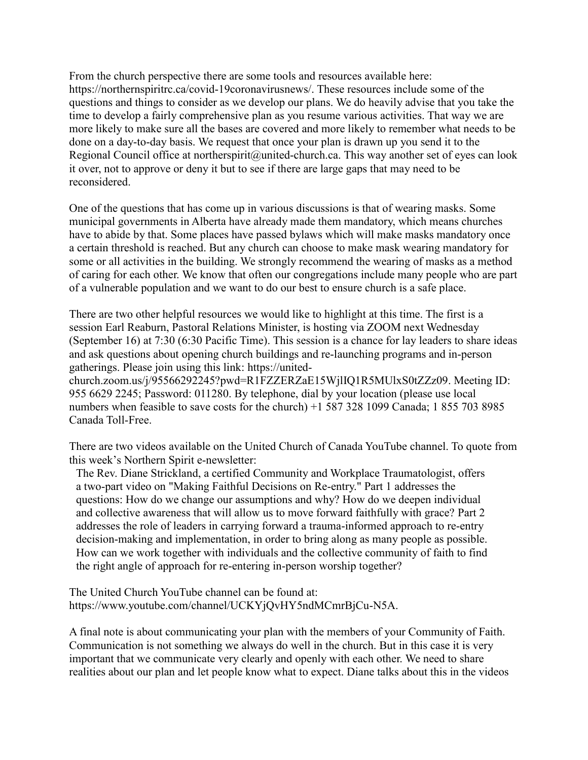From the church perspective there are some tools and resources available here: [https://northernspiritrc.ca/covid-19coronavirusnews/.](https://northernspiritrc.ca/covid-19coronavirusnews/) These resources include some of the questions and things to consider as we develop our plans. We do heavily advise that you take the time to develop a fairly comprehensive plan as you resume various activities. That way we are more likely to make sure all the bases are covered and more likely to remember what needs to be done on a day-to-day basis. We request that once your plan is drawn up you send it to the Regional Council office at [northerspirit@united-church.ca.](mailto:northerspirit@united-church.ca) This way another set of eyes can look it over, not to approve or deny it but to see if there are large gaps that may need to be reconsidered.

One of the questions that has come up in various discussions is that of wearing masks. Some municipal governments in Alberta have already made them mandatory, which means churches have to abide by that. Some places have passed bylaws which will make masks mandatory once a certain threshold is reached. But any church can choose to make mask wearing mandatory for some or all activities in the building. We strongly recommend the wearing of masks as a method of caring for each other. We know that often our congregations include many people who are part of a vulnerable population and we want to do our best to ensure church is a safe place.

There are two other helpful resources we would like to highlight at this time. The first is a session Earl Reaburn, Pastoral Relations Minister, is hosting via ZOOM next Wednesday (September 16) at 7:30 (6:30 Pacific Time). This session is a chance for lay leaders to share ideas and ask questions about opening church buildings and re-launching programs and in-person gatherings. Please join using this link: [https://united-](https://northernspiritrc.us8.list-manage.com/track/click?u=56d54c5fe027cfb46b9a0550e&id=3c91eea611&e=42acf57a71)

[church.zoom.us/j/95566292245?pwd=R1FZZERZaE15WjlIQ1R5MUlxS0tZZz09.](https://northernspiritrc.us8.list-manage.com/track/click?u=56d54c5fe027cfb46b9a0550e&id=3c91eea611&e=42acf57a71) Meeting ID: 955 6629 2245; Password: 011280. By telephone, dial by your location (please use local numbers when feasible to save costs for the church) +1 587 328 1099 Canada; 1 855 703 8985 Canada Toll-Free.

There are two videos available on the United Church of Canada YouTube channel. To quote from this week's Northern Spirit e-newsletter:

The Rev. Diane Strickland, a certified Community and Workplace Traumatologist, offers a two-part video on "Making Faithful Decisions on Re-entry." [Part 1](https://northernspiritrc.us8.list-manage.com/track/click?u=56d54c5fe027cfb46b9a0550e&id=32b947d8a0&e=42acf57a71) addresses the questions: How do we change our assumptions and why? How do we deepen individual and collective awareness that will allow us to move forward faithfully with grace? [Part 2](https://northernspiritrc.us8.list-manage.com/track/click?u=56d54c5fe027cfb46b9a0550e&id=a9cb7d625f&e=42acf57a71) addresses the role of leaders in carrying forward a trauma-informed approach to re-entry decision-making and implementation, in order to bring along as many people as possible. How can we work together with individuals and the collective community of faith to find the right angle of approach for re-entering in-person worship together?

The United Church YouTube channel can be found at: [https://www.youtube.com/channel/UCKYjQvHY5ndMCmrBjCu-N5A.](https://www.youtube.com/channel/UCKYjQvHY5ndMCmrBjCu-N5A)

A final note is about communicating your plan with the members of your Community of Faith. Communication is not something we always do well in the church. But in this case it is very important that we communicate very clearly and openly with each other. We need to share realities about our plan and let people know what to expect. Diane talks about this in the videos